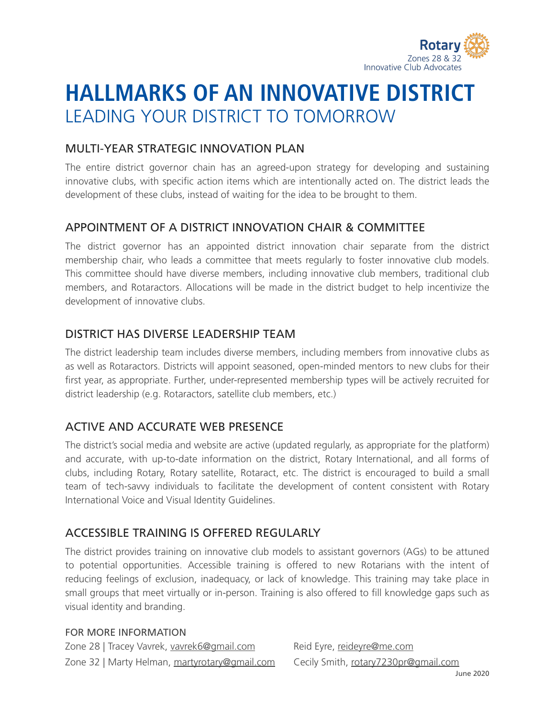

# **HALLMARKS OF AN INNOVATIVE DISTRICT**  LEADING YOUR DISTRICT TO TOMORROW

## MULTI-YEAR STRATEGIC INNOVATION PLAN

The entire district governor chain has an agreed-upon strategy for developing and sustaining innovative clubs, with specifc action items which are intentionally acted on. The district leads the development of these clubs, instead of waiting for the idea to be brought to them.

## APPOINTMENT OF A DISTRICT INNOVATION CHAIR & COMMITTEE

The district governor has an appointed district innovation chair separate from the district membership chair, who leads a committee that meets regularly to foster innovative club models. This committee should have diverse members, including innovative club members, traditional club members, and Rotaractors. Allocations will be made in the district budget to help incentivize the development of innovative clubs.

## DISTRICT HAS DIVERSE LEADERSHIP TEAM

The district leadership team includes diverse members, including members from innovative clubs as as well as Rotaractors. Districts will appoint seasoned, open-minded mentors to new clubs for their first year, as appropriate. Further, under-represented membership types will be actively recruited for district leadership (e.g. Rotaractors, satellite club members, etc.)

## ACTIVE AND ACCURATE WEB PRESENCE

The district's social media and website are active (updated regularly, as appropriate for the platform) and accurate, with up-to-date information on the district, Rotary International, and all forms of clubs, including Rotary, Rotary satellite, Rotaract, etc. The district is encouraged to build a small team of tech-savvy individuals to facilitate the development of content consistent with Rotary International Voice and Visual Identity Guidelines.

## ACCESSIBLE TRAINING IS OFFERED REGULARLY

The district provides training on innovative club models to assistant governors (AGs) to be attuned to potential opportunities. Accessible training is offered to new Rotarians with the intent of reducing feelings of exclusion, inadequacy, or lack of knowledge. This training may take place in small groups that meet virtually or in-person. Training is also offered to fill knowledge gaps such as visual identity and branding.

#### FOR MORE INFORMATION

Zone 28 | Tracey Vavrek, [vavrek6@gmail.com](mailto:vavrek6@gmail.com) Reid Eyre, [reideyre@me.com](mailto:reideyre@me.com) Zone 32 | Marty Helman, [martyrotary@gmail.com](mailto:martyrotary@gmail.com) Cecily Smith, [rotary7230pr@gmail.com](mailto:rotary7230pr@gmail.com)